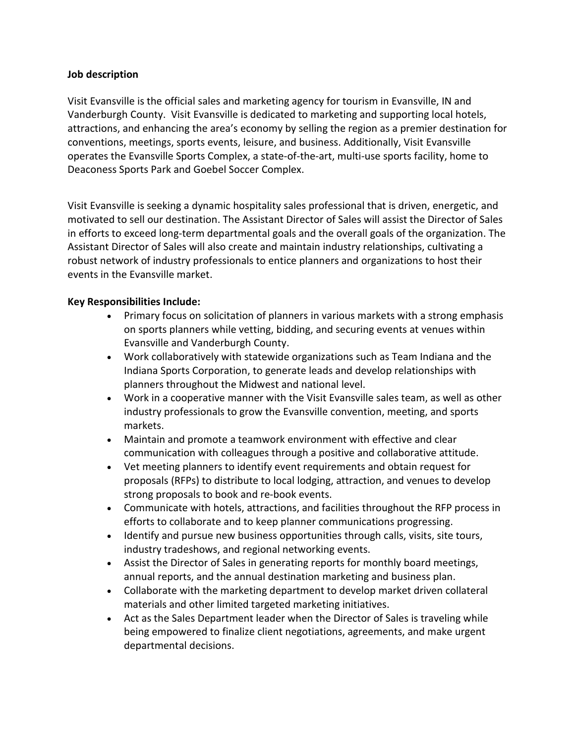### **Job description**

Visit Evansville is the official sales and marketing agency for tourism in Evansville, IN and Vanderburgh County. Visit Evansville is dedicated to marketing and supporting local hotels, attractions, and enhancing the area's economy by selling the region as a premier destination for conventions, meetings, sports events, leisure, and business. Additionally, Visit Evansville operates the Evansville Sports Complex, a state-of-the-art, multi-use sports facility, home to Deaconess Sports Park and Goebel Soccer Complex.

Visit Evansville is seeking a dynamic hospitality sales professional that is driven, energetic, and motivated to sell our destination. The Assistant Director of Sales will assist the Director of Sales in efforts to exceed long-term departmental goals and the overall goals of the organization. The Assistant Director of Sales will also create and maintain industry relationships, cultivating a robust network of industry professionals to entice planners and organizations to host their events in the Evansville market.

## **Key Responsibilities Include:**

- Primary focus on solicitation of planners in various markets with a strong emphasis on sports planners while vetting, bidding, and securing events at venues within Evansville and Vanderburgh County.
- Work collaboratively with statewide organizations such as Team Indiana and the Indiana Sports Corporation, to generate leads and develop relationships with planners throughout the Midwest and national level.
- Work in a cooperative manner with the Visit Evansville sales team, as well as other industry professionals to grow the Evansville convention, meeting, and sports markets.
- Maintain and promote a teamwork environment with effective and clear communication with colleagues through a positive and collaborative attitude.
- Vet meeting planners to identify event requirements and obtain request for proposals (RFPs) to distribute to local lodging, attraction, and venues to develop strong proposals to book and re-book events.
- Communicate with hotels, attractions, and facilities throughout the RFP process in efforts to collaborate and to keep planner communications progressing.
- Identify and pursue new business opportunities through calls, visits, site tours, industry tradeshows, and regional networking events.
- Assist the Director of Sales in generating reports for monthly board meetings, annual reports, and the annual destination marketing and business plan.
- Collaborate with the marketing department to develop market driven collateral materials and other limited targeted marketing initiatives.
- Act as the Sales Department leader when the Director of Sales is traveling while being empowered to finalize client negotiations, agreements, and make urgent departmental decisions.